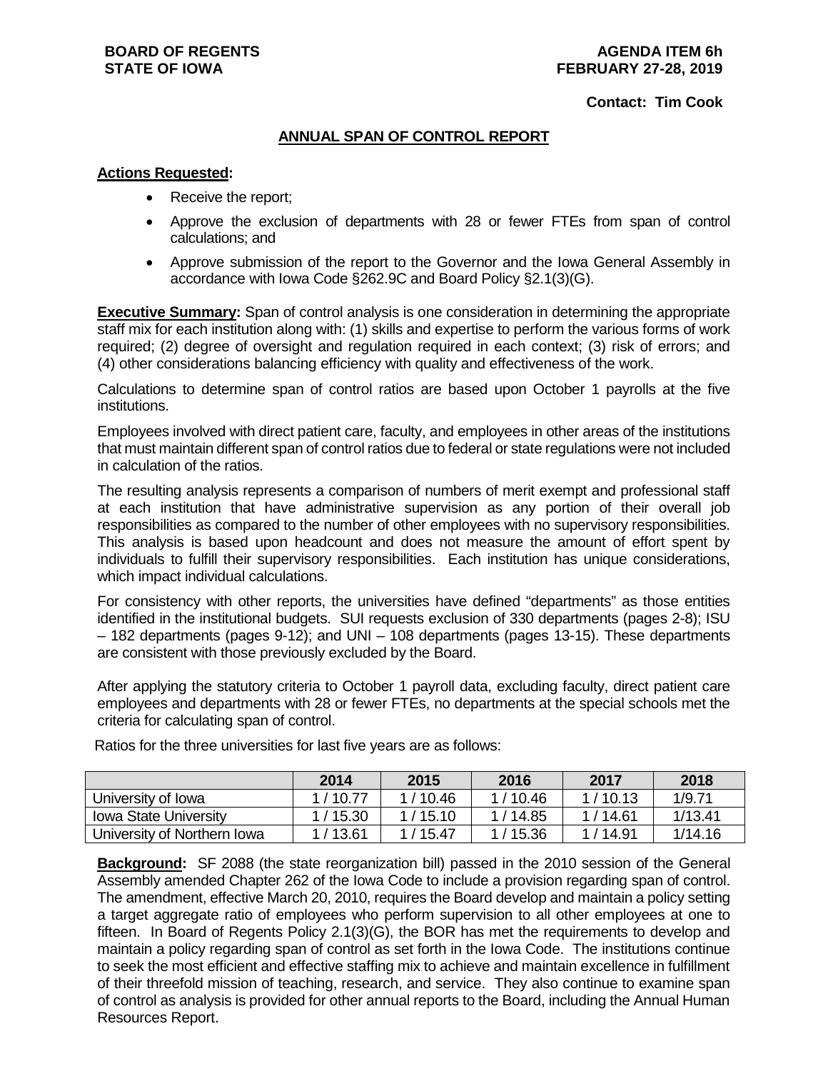### **Contact: Tim Cook**

### **ANNUAL SPAN OF CONTROL REPORT**

### **Actions Requested:**

- Receive the report;
- Approve the exclusion of departments with 28 or fewer FTEs from span of control calculations; and
- Approve submission of the report to the Governor and the Iowa General Assembly in accordance with Iowa Code §262.9C and Board Policy §2.1(3)(G).

**Executive Summary:** Span of control analysis is one consideration in determining the appropriate staff mix for each institution along with: (1) skills and expertise to perform the various forms of work required; (2) degree of oversight and regulation required in each context; (3) risk of errors; and (4) other considerations balancing efficiency with quality and effectiveness of the work.

Calculations to determine span of control ratios are based upon October 1 payrolls at the five institutions.

Employees involved with direct patient care, faculty, and employees in other areas of the institutions that must maintain different span of control ratios due to federal or state regulations were not included in calculation of the ratios.

The resulting analysis represents a comparison of numbers of merit exempt and professional staff at each institution that have administrative supervision as any portion of their overall job responsibilities as compared to the number of other employees with no supervisory responsibilities. This analysis is based upon headcount and does not measure the amount of effort spent by individuals to fulfill their supervisory responsibilities. Each institution has unique considerations, which impact individual calculations.

For consistency with other reports, the universities have defined "departments" as those entities identified in the institutional budgets. SUI requests exclusion of 330 departments (pages 2-8); ISU – 182 departments (pages 9-12); and UNI – 108 departments (pages 13-15). These departments are consistent with those previously excluded by the Board.

After applying the statutory criteria to October 1 payroll data, excluding faculty, direct patient care employees and departments with 28 or fewer FTEs, no departments at the special schools met the criteria for calculating span of control.

|                              | 2014      | 2015    | 2016    | 2017      | 2018    |
|------------------------------|-----------|---------|---------|-----------|---------|
|                              |           |         |         |           |         |
| University of Iowa           | 1/1077    | 1/10.46 | 1/10.46 | 1/10.13   | 1/9.71  |
| <b>Iowa State University</b> | 1 / 15.30 | 1/15.10 | 1/14.85 | 1 / 14.61 | 1/13.41 |
| University of Northern Iowa  | 1/13.61   | 1/15.47 | 1/15.36 | 1 / 14.91 | 1/14.16 |

Ratios for the three universities for last five years are as follows:

**Background:** SF 2088 (the state reorganization bill) passed in the 2010 session of the General Assembly amended Chapter 262 of the Iowa Code to include a provision regarding span of control. The amendment, effective March 20, 2010, requires the Board develop and maintain a policy setting a target aggregate ratio of employees who perform supervision to all other employees at one to fifteen. In Board of Regents Policy 2.1(3)(G), the BOR has met the requirements to develop and maintain a policy regarding span of control as set forth in the Iowa Code. The institutions continue to seek the most efficient and effective staffing mix to achieve and maintain excellence in fulfillment of their threefold mission of teaching, research, and service. They also continue to examine span of control as analysis is provided for other annual reports to the Board, including the Annual Human Resources Report.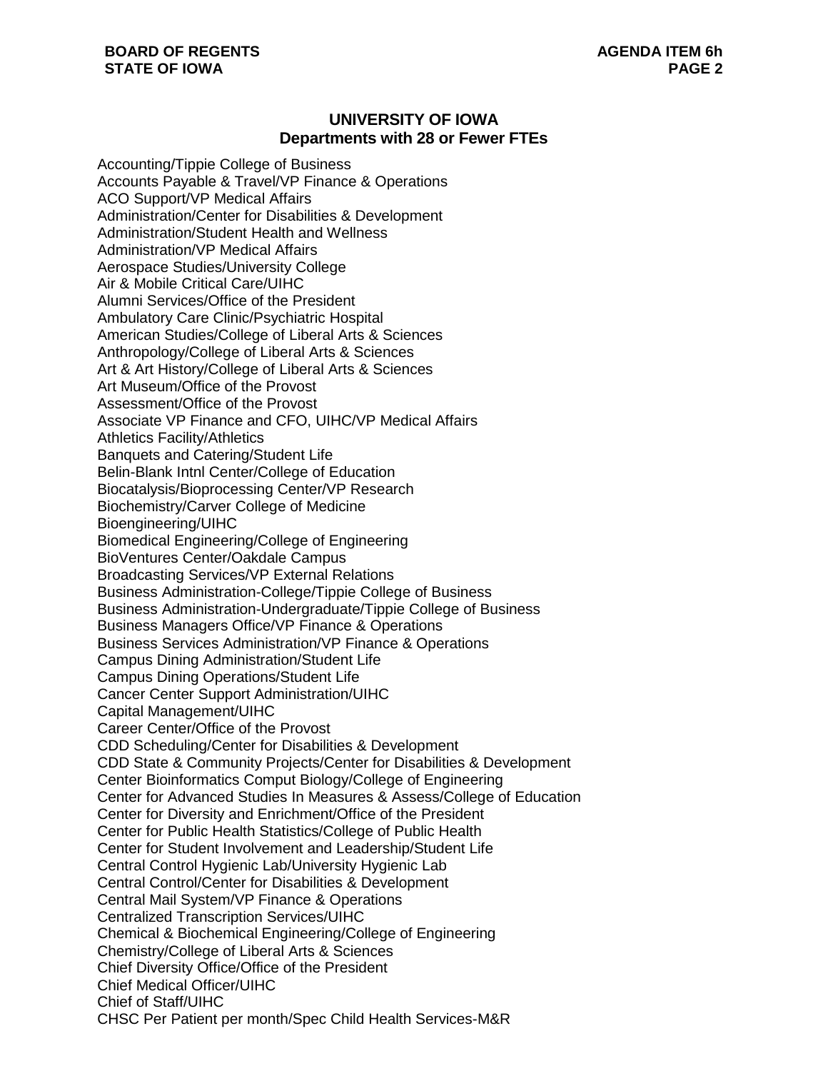# **UNIVERSITY OF IOWA Departments with 28 or Fewer FTEs**

Accounting/Tippie College of Business Accounts Payable & Travel/VP Finance & Operations ACO Support/VP Medical Affairs Administration/Center for Disabilities & Development Administration/Student Health and Wellness Administration/VP Medical Affairs Aerospace Studies/University College Air & Mobile Critical Care/UIHC Alumni Services/Office of the President Ambulatory Care Clinic/Psychiatric Hospital American Studies/College of Liberal Arts & Sciences Anthropology/College of Liberal Arts & Sciences Art & Art History/College of Liberal Arts & Sciences Art Museum/Office of the Provost Assessment/Office of the Provost Associate VP Finance and CFO, UIHC/VP Medical Affairs Athletics Facility/Athletics Banquets and Catering/Student Life Belin-Blank Intnl Center/College of Education Biocatalysis/Bioprocessing Center/VP Research Biochemistry/Carver College of Medicine Bioengineering/UIHC Biomedical Engineering/College of Engineering BioVentures Center/Oakdale Campus Broadcasting Services/VP External Relations Business Administration-College/Tippie College of Business Business Administration-Undergraduate/Tippie College of Business Business Managers Office/VP Finance & Operations Business Services Administration/VP Finance & Operations Campus Dining Administration/Student Life Campus Dining Operations/Student Life Cancer Center Support Administration/UIHC Capital Management/UIHC Career Center/Office of the Provost CDD Scheduling/Center for Disabilities & Development CDD State & Community Projects/Center for Disabilities & Development Center Bioinformatics Comput Biology/College of Engineering Center for Advanced Studies In Measures & Assess/College of Education Center for Diversity and Enrichment/Office of the President Center for Public Health Statistics/College of Public Health Center for Student Involvement and Leadership/Student Life Central Control Hygienic Lab/University Hygienic Lab Central Control/Center for Disabilities & Development Central Mail System/VP Finance & Operations Centralized Transcription Services/UIHC Chemical & Biochemical Engineering/College of Engineering Chemistry/College of Liberal Arts & Sciences Chief Diversity Office/Office of the President Chief Medical Officer/UIHC Chief of Staff/UIHC CHSC Per Patient per month/Spec Child Health Services-M&R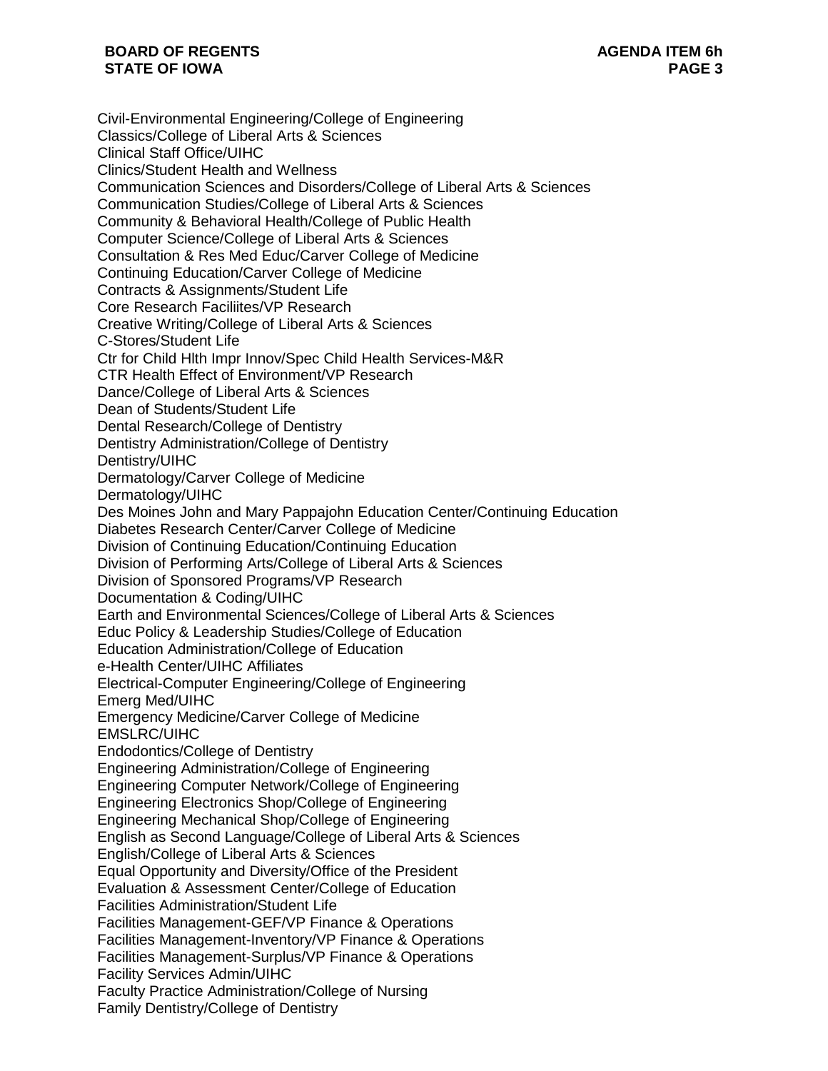Civil-Environmental Engineering/College of Engineering Classics/College of Liberal Arts & Sciences Clinical Staff Office/UIHC Clinics/Student Health and Wellness Communication Sciences and Disorders/College of Liberal Arts & Sciences Communication Studies/College of Liberal Arts & Sciences Community & Behavioral Health/College of Public Health Computer Science/College of Liberal Arts & Sciences Consultation & Res Med Educ/Carver College of Medicine Continuing Education/Carver College of Medicine Contracts & Assignments/Student Life Core Research Faciliites/VP Research Creative Writing/College of Liberal Arts & Sciences C-Stores/Student Life Ctr for Child Hlth Impr Innov/Spec Child Health Services-M&R CTR Health Effect of Environment/VP Research Dance/College of Liberal Arts & Sciences Dean of Students/Student Life Dental Research/College of Dentistry Dentistry Administration/College of Dentistry Dentistry/UIHC Dermatology/Carver College of Medicine Dermatology/UIHC Des Moines John and Mary Pappajohn Education Center/Continuing Education Diabetes Research Center/Carver College of Medicine Division of Continuing Education/Continuing Education Division of Performing Arts/College of Liberal Arts & Sciences Division of Sponsored Programs/VP Research Documentation & Coding/UIHC Earth and Environmental Sciences/College of Liberal Arts & Sciences Educ Policy & Leadership Studies/College of Education Education Administration/College of Education e-Health Center/UIHC Affiliates Electrical-Computer Engineering/College of Engineering Emerg Med/UIHC Emergency Medicine/Carver College of Medicine EMSLRC/UIHC Endodontics/College of Dentistry Engineering Administration/College of Engineering Engineering Computer Network/College of Engineering Engineering Electronics Shop/College of Engineering Engineering Mechanical Shop/College of Engineering English as Second Language/College of Liberal Arts & Sciences English/College of Liberal Arts & Sciences Equal Opportunity and Diversity/Office of the President Evaluation & Assessment Center/College of Education Facilities Administration/Student Life Facilities Management-GEF/VP Finance & Operations Facilities Management-Inventory/VP Finance & Operations Facilities Management-Surplus/VP Finance & Operations Facility Services Admin/UIHC Faculty Practice Administration/College of Nursing Family Dentistry/College of Dentistry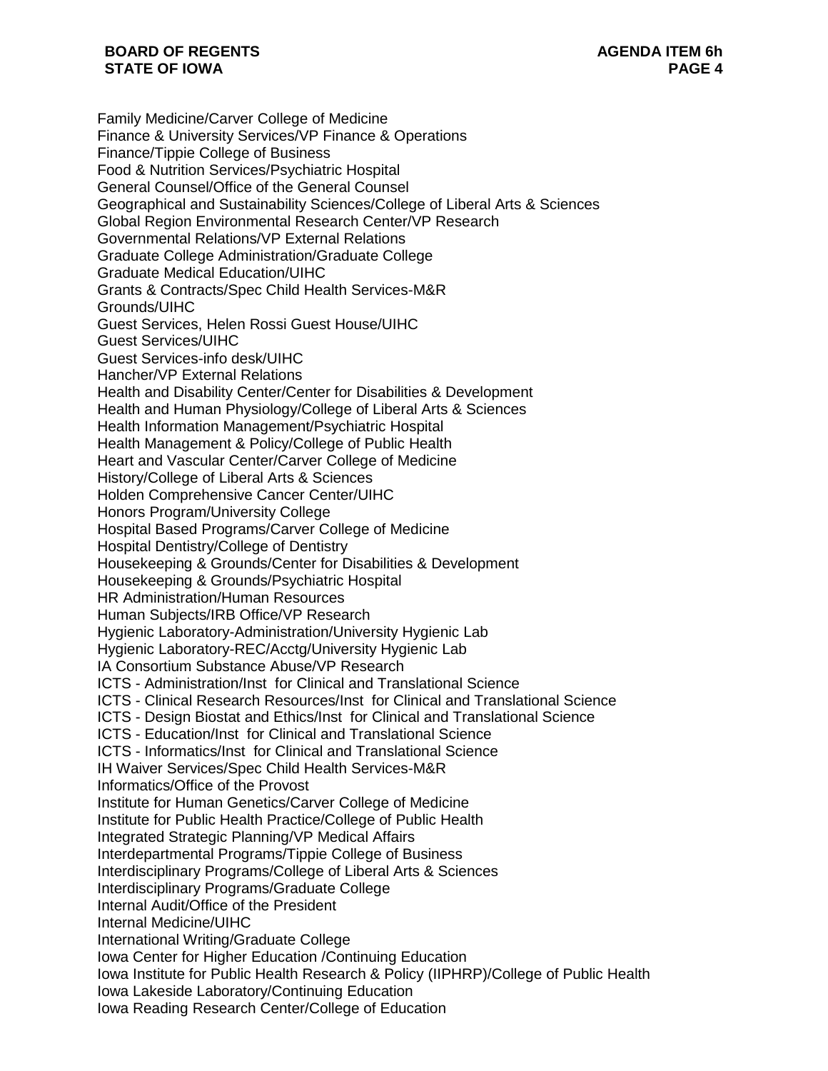Family Medicine/Carver College of Medicine Finance & University Services/VP Finance & Operations Finance/Tippie College of Business Food & Nutrition Services/Psychiatric Hospital General Counsel/Office of the General Counsel Geographical and Sustainability Sciences/College of Liberal Arts & Sciences Global Region Environmental Research Center/VP Research Governmental Relations/VP External Relations Graduate College Administration/Graduate College Graduate Medical Education/UIHC Grants & Contracts/Spec Child Health Services-M&R Grounds/UIHC Guest Services, Helen Rossi Guest House/UIHC Guest Services/UIHC Guest Services-info desk/UIHC Hancher/VP External Relations Health and Disability Center/Center for Disabilities & Development Health and Human Physiology/College of Liberal Arts & Sciences Health Information Management/Psychiatric Hospital Health Management & Policy/College of Public Health Heart and Vascular Center/Carver College of Medicine History/College of Liberal Arts & Sciences Holden Comprehensive Cancer Center/UIHC Honors Program/University College Hospital Based Programs/Carver College of Medicine Hospital Dentistry/College of Dentistry Housekeeping & Grounds/Center for Disabilities & Development Housekeeping & Grounds/Psychiatric Hospital HR Administration/Human Resources Human Subjects/IRB Office/VP Research Hygienic Laboratory-Administration/University Hygienic Lab Hygienic Laboratory-REC/Acctg/University Hygienic Lab IA Consortium Substance Abuse/VP Research ICTS - Administration/Inst for Clinical and Translational Science ICTS - Clinical Research Resources/Inst for Clinical and Translational Science ICTS - Design Biostat and Ethics/Inst for Clinical and Translational Science ICTS - Education/Inst for Clinical and Translational Science ICTS - Informatics/Inst for Clinical and Translational Science IH Waiver Services/Spec Child Health Services-M&R Informatics/Office of the Provost Institute for Human Genetics/Carver College of Medicine Institute for Public Health Practice/College of Public Health Integrated Strategic Planning/VP Medical Affairs Interdepartmental Programs/Tippie College of Business Interdisciplinary Programs/College of Liberal Arts & Sciences Interdisciplinary Programs/Graduate College Internal Audit/Office of the President Internal Medicine/UIHC International Writing/Graduate College Iowa Center for Higher Education /Continuing Education Iowa Institute for Public Health Research & Policy (IIPHRP)/College of Public Health Iowa Lakeside Laboratory/Continuing Education Iowa Reading Research Center/College of Education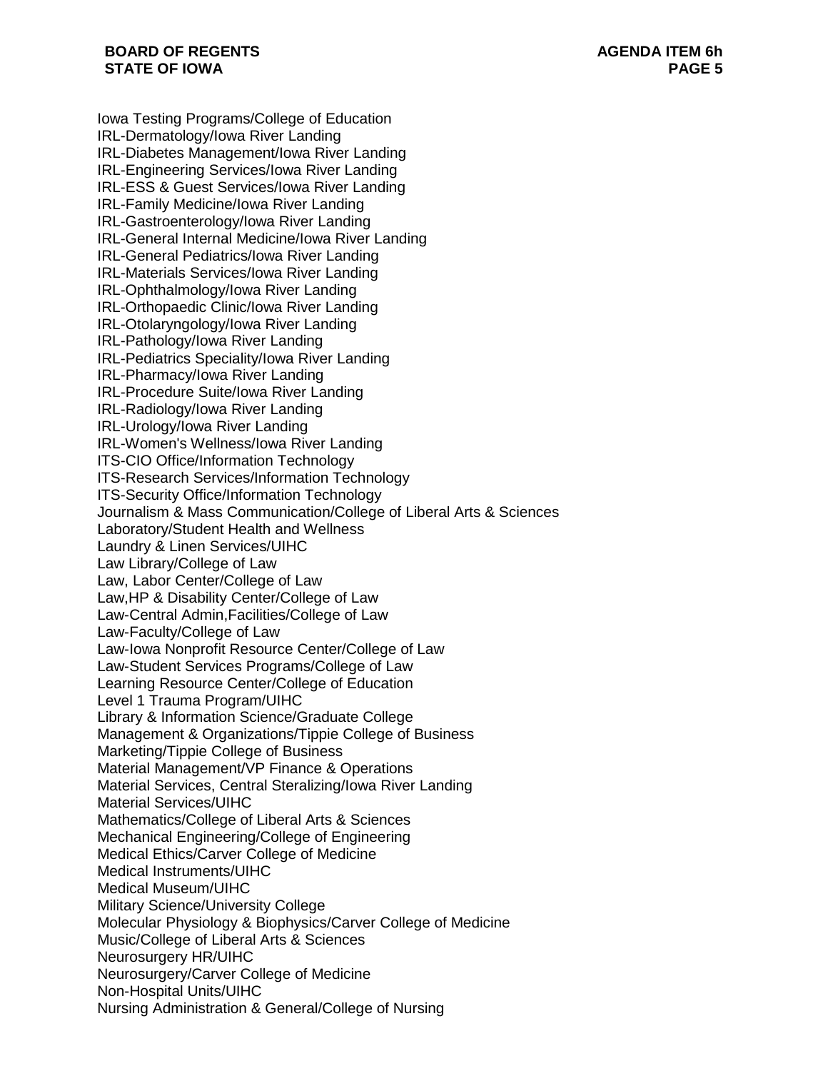Iowa Testing Programs/College of Education IRL-Dermatology/Iowa River Landing IRL-Diabetes Management/Iowa River Landing IRL-Engineering Services/Iowa River Landing IRL-ESS & Guest Services/Iowa River Landing IRL-Family Medicine/Iowa River Landing IRL-Gastroenterology/Iowa River Landing IRL-General Internal Medicine/Iowa River Landing IRL-General Pediatrics/Iowa River Landing IRL-Materials Services/Iowa River Landing IRL-Ophthalmology/Iowa River Landing IRL-Orthopaedic Clinic/Iowa River Landing IRL-Otolaryngology/Iowa River Landing IRL-Pathology/Iowa River Landing IRL-Pediatrics Speciality/Iowa River Landing IRL-Pharmacy/Iowa River Landing IRL-Procedure Suite/Iowa River Landing IRL-Radiology/Iowa River Landing IRL-Urology/Iowa River Landing IRL-Women's Wellness/Iowa River Landing ITS-CIO Office/Information Technology ITS-Research Services/Information Technology ITS-Security Office/Information Technology Journalism & Mass Communication/College of Liberal Arts & Sciences Laboratory/Student Health and Wellness Laundry & Linen Services/UIHC Law Library/College of Law Law, Labor Center/College of Law Law,HP & Disability Center/College of Law Law-Central Admin,Facilities/College of Law Law-Faculty/College of Law Law-Iowa Nonprofit Resource Center/College of Law Law-Student Services Programs/College of Law Learning Resource Center/College of Education Level 1 Trauma Program/UIHC Library & Information Science/Graduate College Management & Organizations/Tippie College of Business Marketing/Tippie College of Business Material Management/VP Finance & Operations Material Services, Central Steralizing/Iowa River Landing Material Services/UIHC Mathematics/College of Liberal Arts & Sciences Mechanical Engineering/College of Engineering Medical Ethics/Carver College of Medicine Medical Instruments/UIHC Medical Museum/UIHC Military Science/University College Molecular Physiology & Biophysics/Carver College of Medicine Music/College of Liberal Arts & Sciences Neurosurgery HR/UIHC Neurosurgery/Carver College of Medicine Non-Hospital Units/UIHC Nursing Administration & General/College of Nursing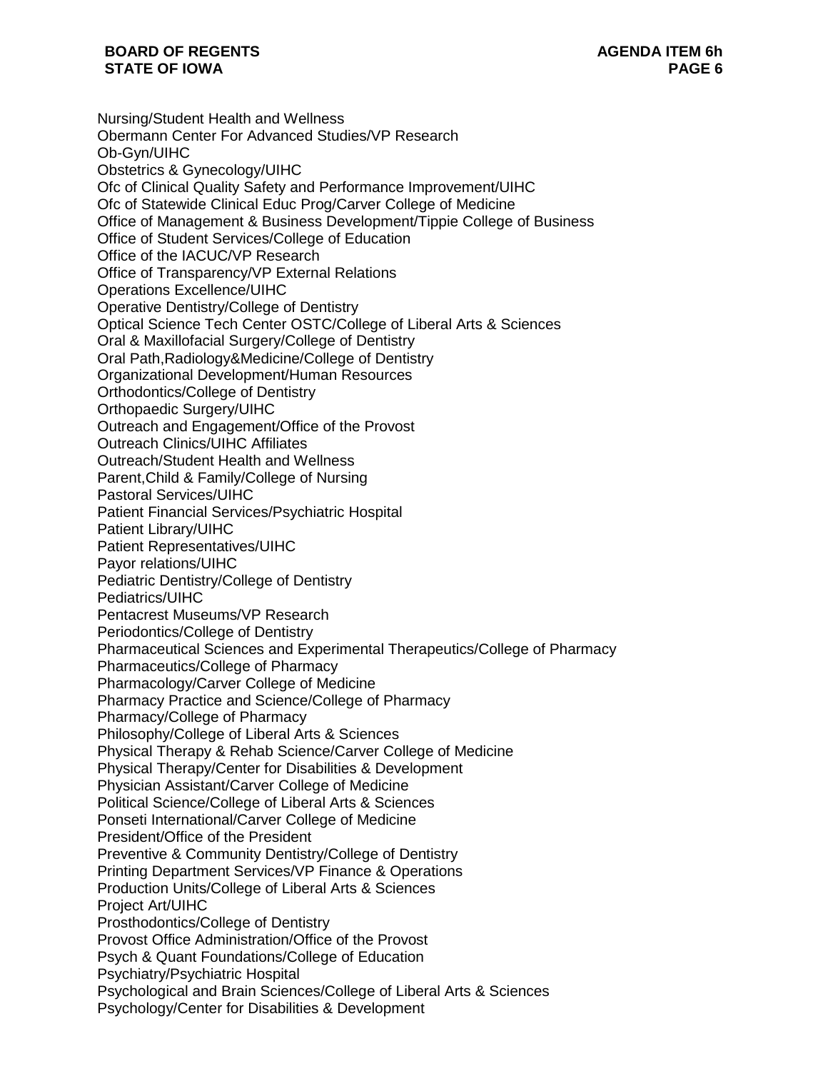Nursing/Student Health and Wellness Obermann Center For Advanced Studies/VP Research Ob-Gyn/UIHC Obstetrics & Gynecology/UIHC Ofc of Clinical Quality Safety and Performance Improvement/UIHC Ofc of Statewide Clinical Educ Prog/Carver College of Medicine Office of Management & Business Development/Tippie College of Business Office of Student Services/College of Education Office of the IACUC/VP Research Office of Transparency/VP External Relations Operations Excellence/UIHC Operative Dentistry/College of Dentistry Optical Science Tech Center OSTC/College of Liberal Arts & Sciences Oral & Maxillofacial Surgery/College of Dentistry Oral Path,Radiology&Medicine/College of Dentistry Organizational Development/Human Resources Orthodontics/College of Dentistry Orthopaedic Surgery/UIHC Outreach and Engagement/Office of the Provost Outreach Clinics/UIHC Affiliates Outreach/Student Health and Wellness Parent,Child & Family/College of Nursing Pastoral Services/UIHC Patient Financial Services/Psychiatric Hospital Patient Library/UIHC Patient Representatives/UIHC Payor relations/UIHC Pediatric Dentistry/College of Dentistry Pediatrics/UIHC Pentacrest Museums/VP Research Periodontics/College of Dentistry Pharmaceutical Sciences and Experimental Therapeutics/College of Pharmacy Pharmaceutics/College of Pharmacy Pharmacology/Carver College of Medicine Pharmacy Practice and Science/College of Pharmacy Pharmacy/College of Pharmacy Philosophy/College of Liberal Arts & Sciences Physical Therapy & Rehab Science/Carver College of Medicine Physical Therapy/Center for Disabilities & Development Physician Assistant/Carver College of Medicine Political Science/College of Liberal Arts & Sciences Ponseti International/Carver College of Medicine President/Office of the President Preventive & Community Dentistry/College of Dentistry Printing Department Services/VP Finance & Operations Production Units/College of Liberal Arts & Sciences Project Art/UIHC Prosthodontics/College of Dentistry Provost Office Administration/Office of the Provost Psych & Quant Foundations/College of Education Psychiatry/Psychiatric Hospital Psychological and Brain Sciences/College of Liberal Arts & Sciences Psychology/Center for Disabilities & Development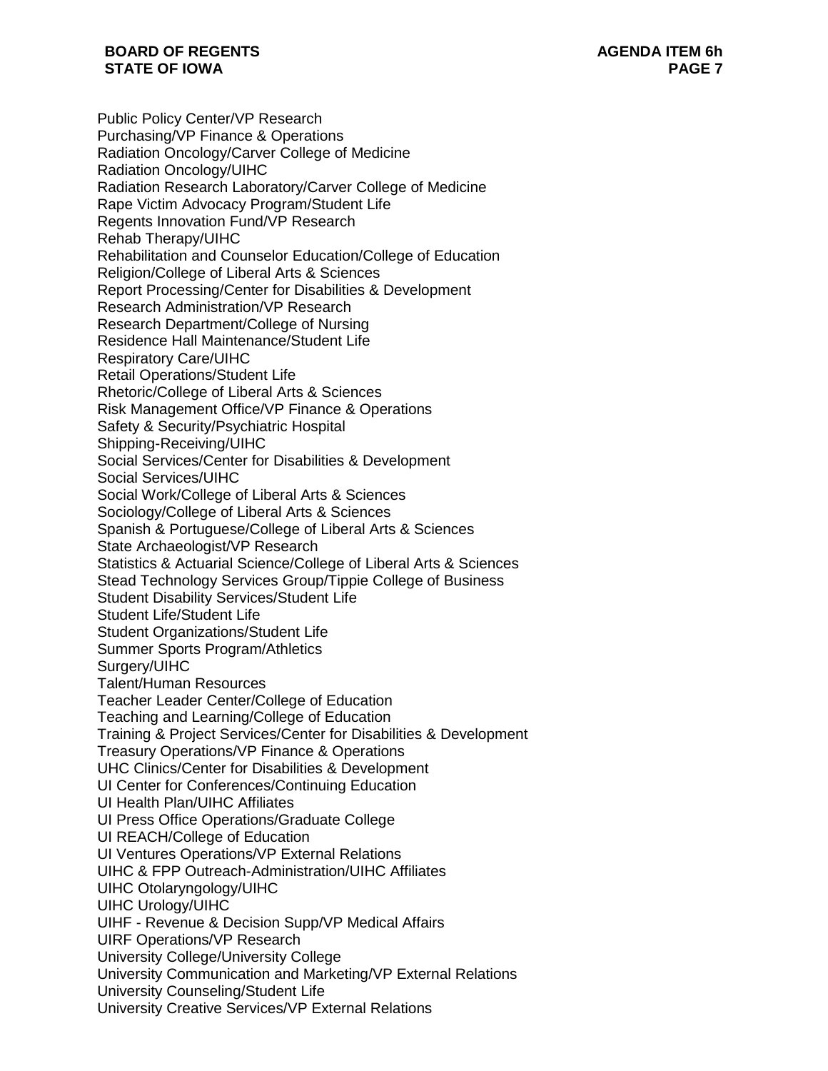Public Policy Center/VP Research Purchasing/VP Finance & Operations Radiation Oncology/Carver College of Medicine Radiation Oncology/UIHC Radiation Research Laboratory/Carver College of Medicine Rape Victim Advocacy Program/Student Life Regents Innovation Fund/VP Research Rehab Therapy/UIHC Rehabilitation and Counselor Education/College of Education Religion/College of Liberal Arts & Sciences Report Processing/Center for Disabilities & Development Research Administration/VP Research Research Department/College of Nursing Residence Hall Maintenance/Student Life Respiratory Care/UIHC Retail Operations/Student Life Rhetoric/College of Liberal Arts & Sciences Risk Management Office/VP Finance & Operations Safety & Security/Psychiatric Hospital Shipping-Receiving/UIHC Social Services/Center for Disabilities & Development Social Services/UIHC Social Work/College of Liberal Arts & Sciences Sociology/College of Liberal Arts & Sciences Spanish & Portuguese/College of Liberal Arts & Sciences State Archaeologist/VP Research Statistics & Actuarial Science/College of Liberal Arts & Sciences Stead Technology Services Group/Tippie College of Business Student Disability Services/Student Life Student Life/Student Life Student Organizations/Student Life Summer Sports Program/Athletics Surgery/UIHC Talent/Human Resources Teacher Leader Center/College of Education Teaching and Learning/College of Education Training & Project Services/Center for Disabilities & Development Treasury Operations/VP Finance & Operations UHC Clinics/Center for Disabilities & Development UI Center for Conferences/Continuing Education UI Health Plan/UIHC Affiliates UI Press Office Operations/Graduate College UI REACH/College of Education UI Ventures Operations/VP External Relations UIHC & FPP Outreach-Administration/UIHC Affiliates UIHC Otolaryngology/UIHC UIHC Urology/UIHC UIHF - Revenue & Decision Supp/VP Medical Affairs UIRF Operations/VP Research University College/University College University Communication and Marketing/VP External Relations University Counseling/Student Life University Creative Services/VP External Relations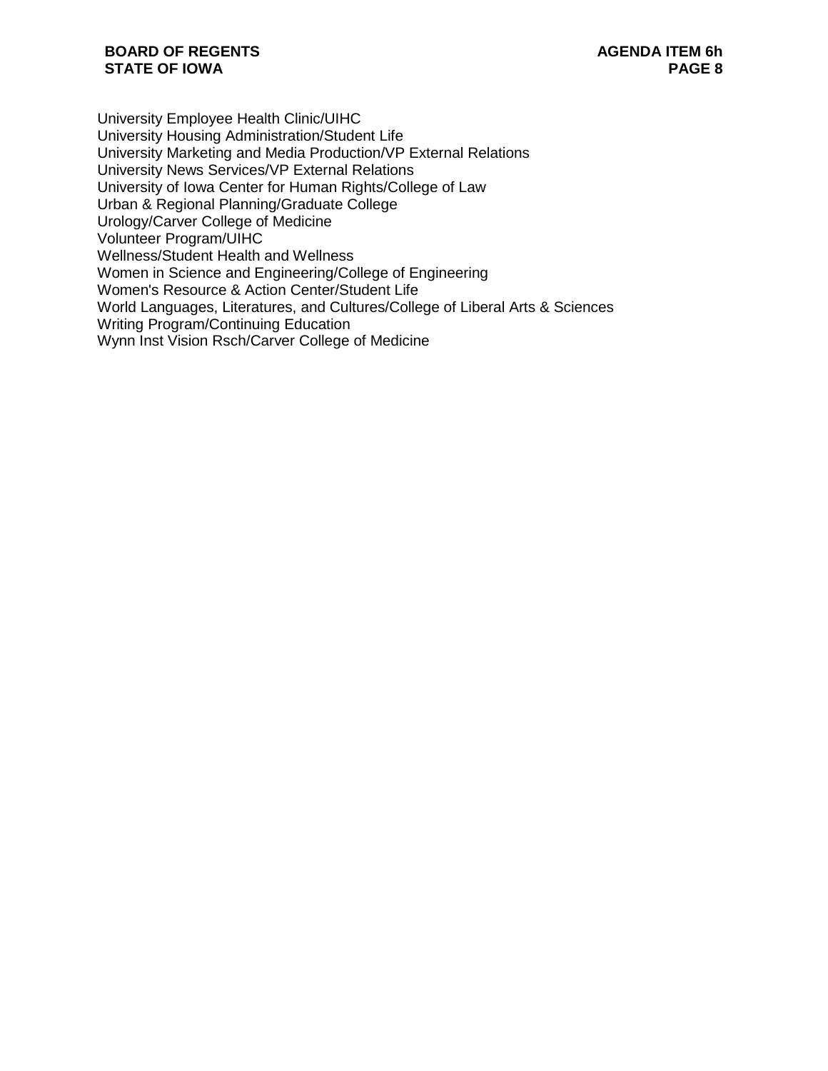University Employee Health Clinic/UIHC University Housing Administration/Student Life University Marketing and Media Production/VP External Relations University News Services/VP External Relations University of Iowa Center for Human Rights/College of Law Urban & Regional Planning/Graduate College Urology/Carver College of Medicine Volunteer Program/UIHC Wellness/Student Health and Wellness Women in Science and Engineering/College of Engineering Women's Resource & Action Center/Student Life World Languages, Literatures, and Cultures/College of Liberal Arts & Sciences Writing Program/Continuing Education Wynn Inst Vision Rsch/Carver College of Medicine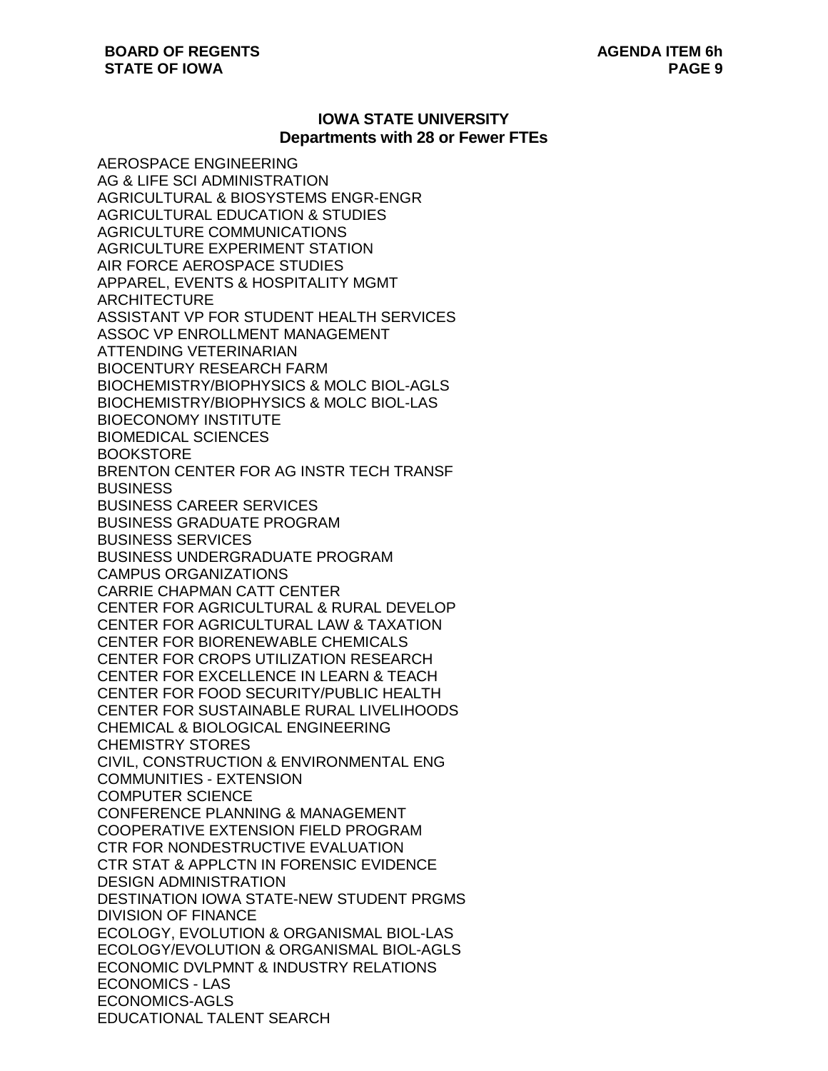## **IOWA STATE UNIVERSITY Departments with 28 or Fewer FTEs**

AEROSPACE ENGINEERING AG & LIFE SCI ADMINISTRATION AGRICULTURAL & BIOSYSTEMS ENGR-ENGR AGRICULTURAL EDUCATION & STUDIES AGRICULTURE COMMUNICATIONS AGRICULTURE EXPERIMENT STATION AIR FORCE AEROSPACE STUDIES APPAREL, EVENTS & HOSPITALITY MGMT **ARCHITECTURE** ASSISTANT VP FOR STUDENT HEALTH SERVICES ASSOC VP ENROLLMENT MANAGEMENT ATTENDING VETERINARIAN BIOCENTURY RESEARCH FARM BIOCHEMISTRY/BIOPHYSICS & MOLC BIOL-AGLS BIOCHEMISTRY/BIOPHYSICS & MOLC BIOL-LAS BIOECONOMY INSTITUTE BIOMEDICAL SCIENCES **BOOKSTORE** BRENTON CENTER FOR AG INSTR TECH TRANSF BUSINESS BUSINESS CAREER SERVICES BUSINESS GRADUATE PROGRAM BUSINESS SERVICES BUSINESS UNDERGRADUATE PROGRAM CAMPUS ORGANIZATIONS CARRIE CHAPMAN CATT CENTER CENTER FOR AGRICULTURAL & RURAL DEVELOP CENTER FOR AGRICULTURAL LAW & TAXATION CENTER FOR BIORENEWABLE CHEMICALS CENTER FOR CROPS UTILIZATION RESEARCH CENTER FOR EXCELLENCE IN LEARN & TEACH CENTER FOR FOOD SECURITY/PUBLIC HEALTH CENTER FOR SUSTAINABLE RURAL LIVELIHOODS CHEMICAL & BIOLOGICAL ENGINEERING CHEMISTRY STORES CIVIL, CONSTRUCTION & ENVIRONMENTAL ENG COMMUNITIES - EXTENSION COMPUTER SCIENCE CONFERENCE PLANNING & MANAGEMENT COOPERATIVE EXTENSION FIELD PROGRAM CTR FOR NONDESTRUCTIVE EVALUATION CTR STAT & APPLCTN IN FORENSIC EVIDENCE DESIGN ADMINISTRATION DESTINATION IOWA STATE-NEW STUDENT PRGMS DIVISION OF FINANCE ECOLOGY, EVOLUTION & ORGANISMAL BIOL-LAS ECOLOGY/EVOLUTION & ORGANISMAL BIOL-AGLS ECONOMIC DVLPMNT & INDUSTRY RELATIONS ECONOMICS - LAS ECONOMICS-AGLS EDUCATIONAL TALENT SEARCH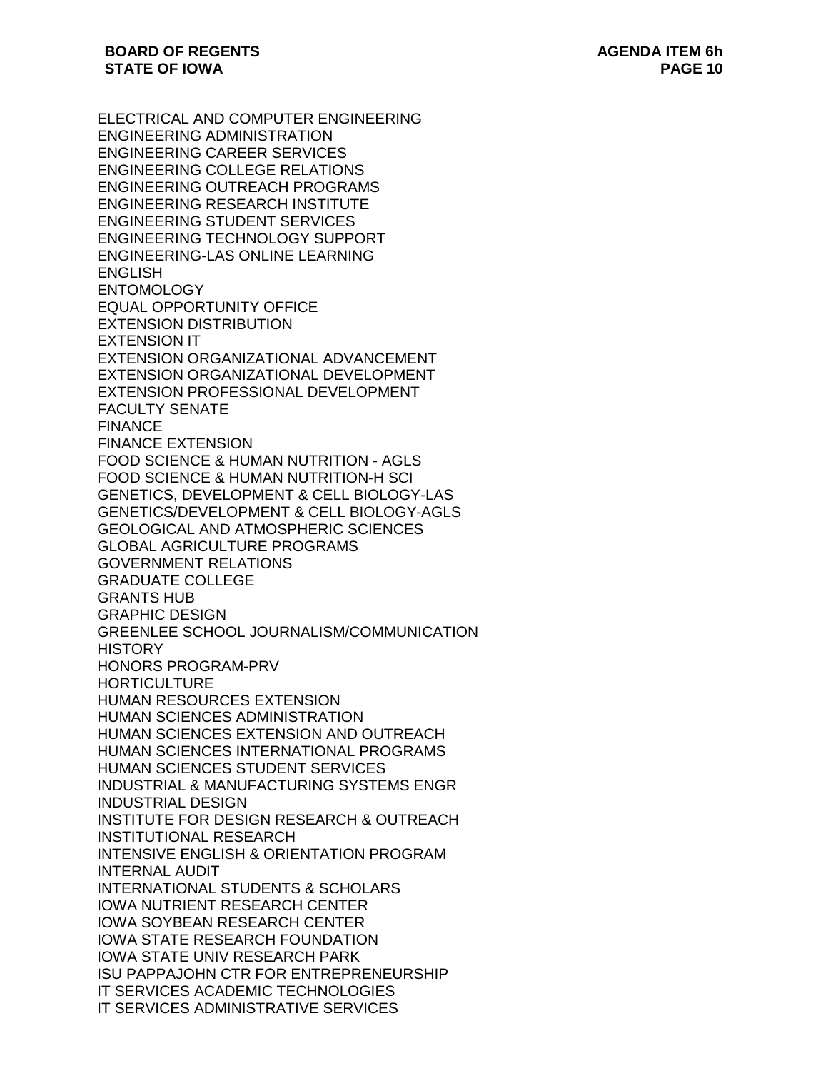ELECTRICAL AND COMPUTER ENGINEERING ENGINEERING ADMINISTRATION ENGINEERING CAREER SERVICES ENGINEERING COLLEGE RELATIONS ENGINEERING OUTREACH PROGRAMS ENGINEERING RESEARCH INSTITUTE ENGINEERING STUDENT SERVICES ENGINEERING TECHNOLOGY SUPPORT ENGINEERING-LAS ONLINE LEARNING **ENGLISH** ENTOMOLOGY EQUAL OPPORTUNITY OFFICE EXTENSION DISTRIBUTION EXTENSION IT EXTENSION ORGANIZATIONAL ADVANCEMENT EXTENSION ORGANIZATIONAL DEVELOPMENT EXTENSION PROFESSIONAL DEVELOPMENT FACULTY SENATE FINANCE FINANCE EXTENSION FOOD SCIENCE & HUMAN NUTRITION - AGLS FOOD SCIENCE & HUMAN NUTRITION-H SCI GENETICS, DEVELOPMENT & CELL BIOLOGY-LAS GENETICS/DEVELOPMENT & CELL BIOLOGY-AGLS GEOLOGICAL AND ATMOSPHERIC SCIENCES GLOBAL AGRICULTURE PROGRAMS GOVERNMENT RELATIONS GRADUATE COLLEGE GRANTS HUB GRAPHIC DESIGN GREENLEE SCHOOL JOURNALISM/COMMUNICATION **HISTORY** HONORS PROGRAM-PRV **HORTICULTURE** HUMAN RESOURCES EXTENSION HUMAN SCIENCES ADMINISTRATION HUMAN SCIENCES EXTENSION AND OUTREACH HUMAN SCIENCES INTERNATIONAL PROGRAMS HUMAN SCIENCES STUDENT SERVICES INDUSTRIAL & MANUFACTURING SYSTEMS ENGR INDUSTRIAL DESIGN INSTITUTE FOR DESIGN RESEARCH & OUTREACH INSTITUTIONAL RESEARCH INTENSIVE ENGLISH & ORIENTATION PROGRAM INTERNAL AUDIT INTERNATIONAL STUDENTS & SCHOLARS IOWA NUTRIENT RESEARCH CENTER IOWA SOYBEAN RESEARCH CENTER IOWA STATE RESEARCH FOUNDATION IOWA STATE UNIV RESEARCH PARK ISU PAPPAJOHN CTR FOR ENTREPRENEURSHIP IT SERVICES ACADEMIC TECHNOLOGIES IT SERVICES ADMINISTRATIVE SERVICES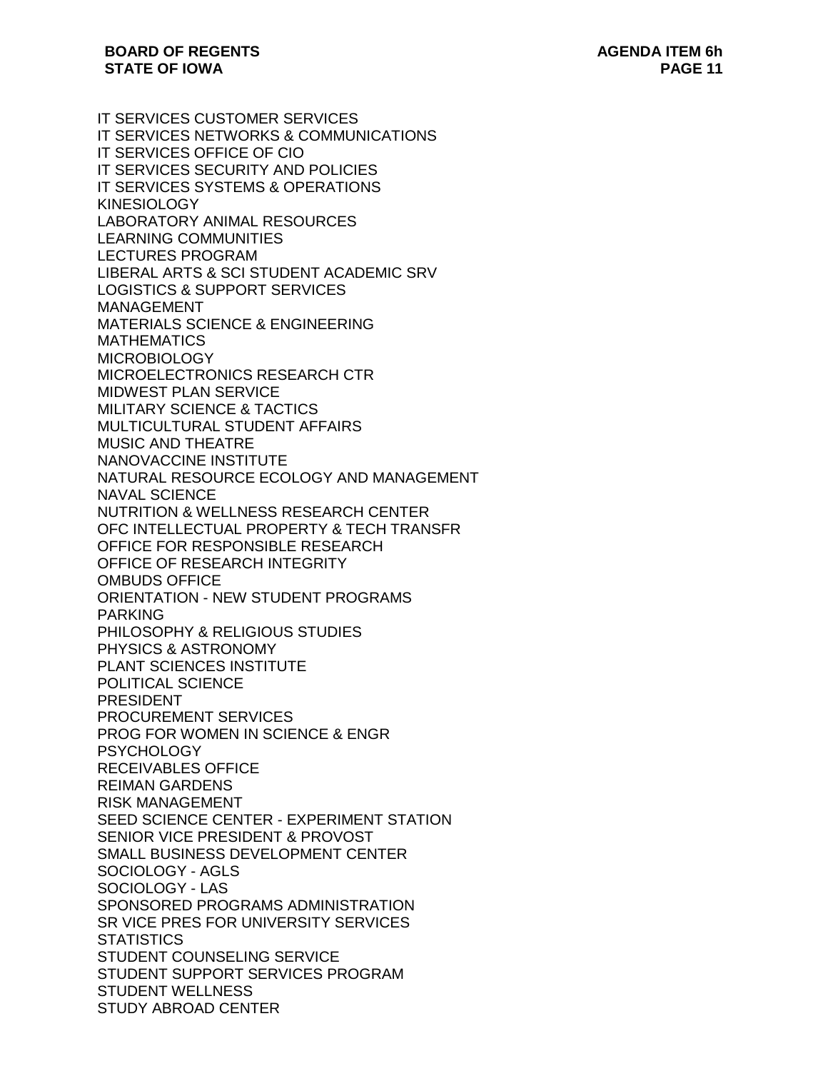IT SERVICES CUSTOMER SERVICES IT SERVICES NETWORKS & COMMUNICATIONS IT SERVICES OFFICE OF CIO IT SERVICES SECURITY AND POLICIES IT SERVICES SYSTEMS & OPERATIONS KINESIOLOGY LABORATORY ANIMAL RESOURCES LEARNING COMMUNITIES LECTURES PROGRAM LIBERAL ARTS & SCI STUDENT ACADEMIC SRV LOGISTICS & SUPPORT SERVICES MANAGEMENT MATERIALS SCIENCE & ENGINEERING **MATHEMATICS** MICROBIOLOGY MICROELECTRONICS RESEARCH CTR MIDWEST PLAN SERVICE MILITARY SCIENCE & TACTICS MULTICULTURAL STUDENT AFFAIRS MUSIC AND THEATRE NANOVACCINE INSTITUTE NATURAL RESOURCE ECOLOGY AND MANAGEMENT NAVAL SCIENCE NUTRITION & WELLNESS RESEARCH CENTER OFC INTELLECTUAL PROPERTY & TECH TRANSFR OFFICE FOR RESPONSIBLE RESEARCH OFFICE OF RESEARCH INTEGRITY OMBUDS OFFICE ORIENTATION - NEW STUDENT PROGRAMS PARKING PHILOSOPHY & RELIGIOUS STUDIES PHYSICS & ASTRONOMY PLANT SCIENCES INSTITUTE POLITICAL SCIENCE PRESIDENT PROCUREMENT SERVICES PROG FOR WOMEN IN SCIENCE & ENGR **PSYCHOLOGY** RECEIVABLES OFFICE REIMAN GARDENS RISK MANAGEMENT SEED SCIENCE CENTER - EXPERIMENT STATION SENIOR VICE PRESIDENT & PROVOST SMALL BUSINESS DEVELOPMENT CENTER SOCIOLOGY - AGLS SOCIOLOGY - LAS SPONSORED PROGRAMS ADMINISTRATION SR VICE PRES FOR UNIVERSITY SERVICES **STATISTICS** STUDENT COUNSELING SERVICE STUDENT SUPPORT SERVICES PROGRAM STUDENT WELLNESS STUDY ABROAD CENTER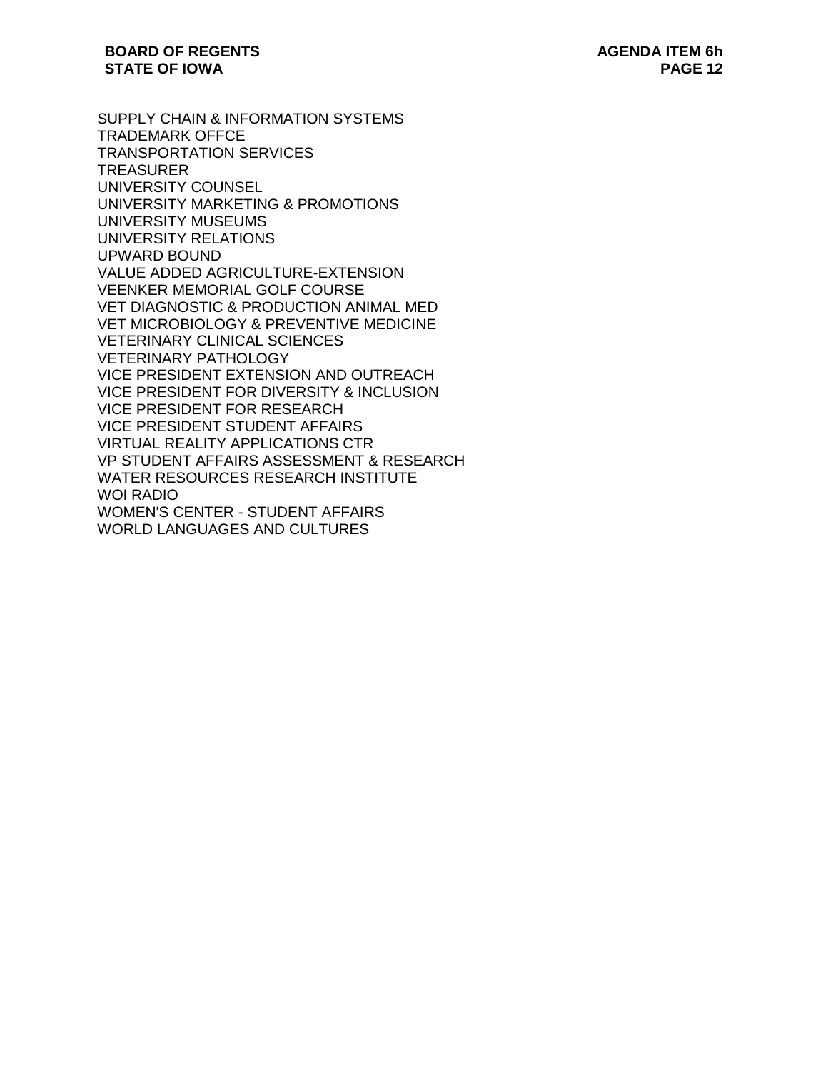SUPPLY CHAIN & INFORMATION SYSTEMS TRADEMARK OFFCE TRANSPORTATION SERVICES TREASURER UNIVERSITY COUNSEL UNIVERSITY MARKETING & PROMOTIONS UNIVERSITY MUSEUMS UNIVERSITY RELATIONS UPWARD BOUND VALUE ADDED AGRICULTURE-EXTENSION VEENKER MEMORIAL GOLF COURSE VET DIAGNOSTIC & PRODUCTION ANIMAL MED VET MICROBIOLOGY & PREVENTIVE MEDICINE VETERINARY CLINICAL SCIENCES VETERINARY PATHOLOGY VICE PRESIDENT EXTENSION AND OUTREACH VICE PRESIDENT FOR DIVERSITY & INCLUSION VICE PRESIDENT FOR RESEARCH VICE PRESIDENT STUDENT AFFAIRS VIRTUAL REALITY APPLICATIONS CTR VP STUDENT AFFAIRS ASSESSMENT & RESEARCH WATER RESOURCES RESEARCH INSTITUTE WOI RADIO WOMEN'S CENTER - STUDENT AFFAIRS WORLD LANGUAGES AND CULTURES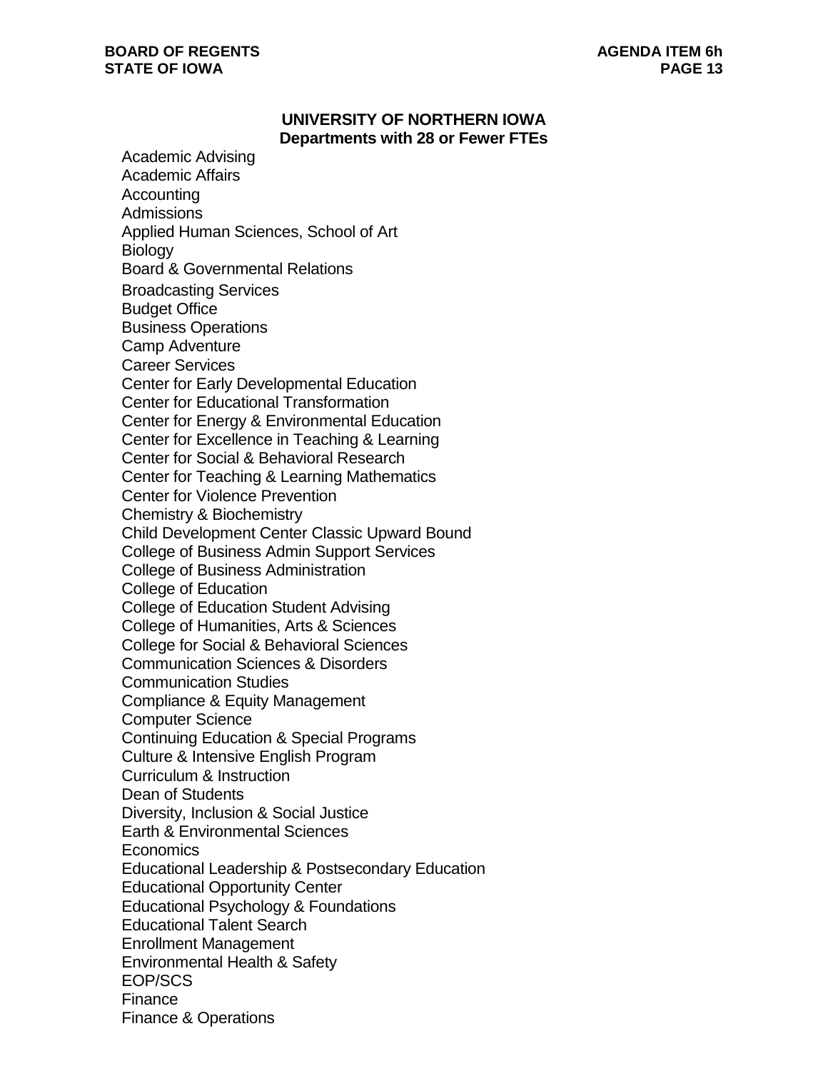### **BOARD OF REGENTS STATE OF IOWA**

## **UNIVERSITY OF NORTHERN IOWA Departments with 28 or Fewer FTEs**

Academic Advising Academic Affairs **Accounting** Admissions Applied Human Sciences, School of Art **Biology** Board & Governmental Relations Broadcasting Services Budget Office Business Operations Camp Adventure Career Services Center for Early Developmental Education Center for Educational Transformation Center for Energy & Environmental Education Center for Excellence in Teaching & Learning Center for Social & Behavioral Research Center for Teaching & Learning Mathematics Center for Violence Prevention Chemistry & Biochemistry Child Development Center Classic Upward Bound College of Business Admin Support Services College of Business Administration College of Education College of Education Student Advising College of Humanities, Arts & Sciences College for Social & Behavioral Sciences Communication Sciences & Disorders Communication Studies Compliance & Equity Management Computer Science Continuing Education & Special Programs Culture & Intensive English Program Curriculum & Instruction Dean of Students Diversity, Inclusion & Social Justice Earth & Environmental Sciences **Economics** Educational Leadership & Postsecondary Education Educational Opportunity Center Educational Psychology & Foundations Educational Talent Search Enrollment Management Environmental Health & Safety EOP/SCS Finance Finance & Operations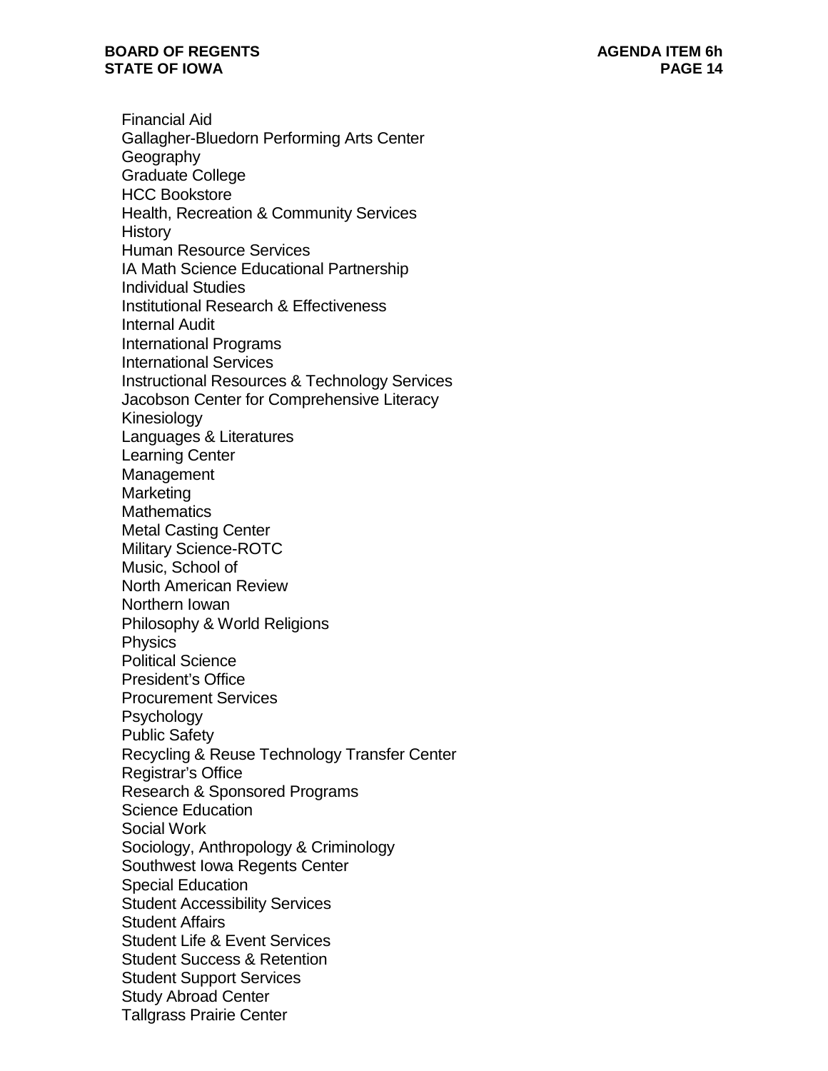Financial Aid Gallagher-Bluedorn Performing Arts Center **Geography** Graduate College HCC Bookstore Health, Recreation & Community Services **History** Human Resource Services IA Math Science Educational Partnership Individual Studies Institutional Research & Effectiveness Internal Audit International Programs International Services Instructional Resources & Technology Services Jacobson Center for Comprehensive Literacy Kinesiology Languages & Literatures Learning Center Management Marketing **Mathematics** Metal Casting Center Military Science-ROTC Music, School of North American Review Northern Iowan Philosophy & World Religions **Physics** Political Science President's Office Procurement Services **Psychology** Public Safety Recycling & Reuse Technology Transfer Center Registrar's Office Research & Sponsored Programs Science Education Social Work Sociology, Anthropology & Criminology Southwest Iowa Regents Center Special Education Student Accessibility Services Student Affairs Student Life & Event Services Student Success & Retention Student Support Services Study Abroad Center Tallgrass Prairie Center